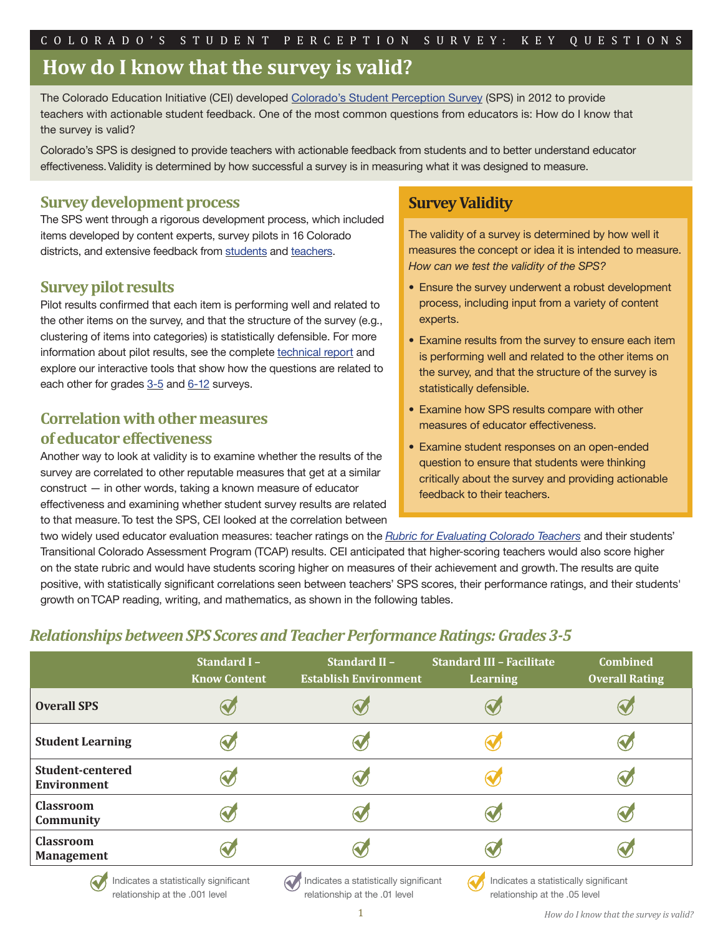# **How do I know that the survey is valid?**

The Colorado Education Initiative (CEI) developed [Colorado's Student Perception Survey \(](http://www.coloradoedinitiative.org/studentsurvey/)SPS) in 2012 to provide teachers with actionable student feedback. One of the most common questions from educators is: How do I know that the survey is valid?

Colorado's SPS is designed to provide teachers with actionable feedback from students and to better understand educator effectiveness. Validity is determined by how successful a survey is in measuring what it was designed to measure.

#### **Survey development process**

The SPS went through a rigorous development process, which included items developed by content experts, survey pilots in 16 Colorado districts, and extensive feedback from [students a](#page-6-0)nd teachers.

#### **Survey pilot results**

Pilot results confirmed that each item is performing well and related to the other items on the survey, and that the structure of the survey (e.g., clustering of items into categories) is statistically defensible. For more information about pilot results, see the complete [technical report a](http://www.coloradoedinitiative.org/wp-content/uploads/2014/09/technical-report-CEI.pdf)nd explore our interactive tools that show how the questions are related to each other for grades [3-5 a](http://www.coloradoedinitiative.org/sps-correlation-tool/3-5/)nd [6-12](http://www.coloradoedinitiative.org/sps-correlation-tool/6-12/) surveys.

# **Correlation with other measures of educator effectiveness**

Another way to look at validity is to examine whether the results of the survey are correlated to other reputable measures that get at a similar construct — in other words, taking a known measure of educator effectiveness and examining whether student survey results are related to that measure. To test the SPS, CEI looked at the correlation between

#### **Survey Validity**

The validity of a survey is determined by how well it measures the concept or idea it is intended to measure. *How can we test the validity of the SPS?* 

- Ensure the survey underwent a robust development process, including input from a variety of content experts.
- Examine results from the survey to ensure each item is performing well and related to the other items on the survey, and that the structure of the survey is statistically defensible.
- Examine how SPS results compare with other measures of educator effectiveness.
- Examine student responses on an open-ended question to ensure that students were thinking critically about the survey and providing actionable feedback to their teachers.

two widely used educator evaluation measures: teacher ratings on the *[Rubric for Evaluating Colorado Teachers](http://www.cde.state.co.us/educatoreffectiveness/rubric-for-colorado-teachers)* and their students' Transitional Colorado Assessment Program (TCAP) results. CEI anticipated that higher-scoring teachers would also score higher on the state rubric and would have students scoring higher on measures of their achievement and growth. The results are quite positive, with statistically significant correlations seen between teachers' SPS scores, their performance ratings, and their students' growth on TCAP reading, writing, and mathematics, as shown in the following tables.

## *Relationships between SPS Scores and Teacher Performance Ratings: Grades 3-5*

|                                               | Standard I-<br><b>Know Content</b> | <b>Standard II -</b><br><b>Establish Environment</b> | <b>Standard III - Facilitate</b><br><b>Learning</b> | <b>Combined</b><br><b>Overall Rating</b> |
|-----------------------------------------------|------------------------------------|------------------------------------------------------|-----------------------------------------------------|------------------------------------------|
| <b>Overall SPS</b>                            |                                    |                                                      |                                                     |                                          |
| <b>Student Learning</b>                       |                                    |                                                      |                                                     |                                          |
| <b>Student-centered</b><br><b>Environment</b> |                                    |                                                      |                                                     |                                          |
| <b>Classroom</b><br>Community                 |                                    |                                                      |                                                     |                                          |
| <b>Classroom</b><br><b>Management</b>         |                                    |                                                      |                                                     |                                          |
| $\sim$                                        |                                    | $\sim$                                               |                                                     |                                          |



Indicates a statistically significant relationship at the .001 level

Indicates a statistically significant relationship at the .01 level

Indicates a statistically significant relationship at the .05 level